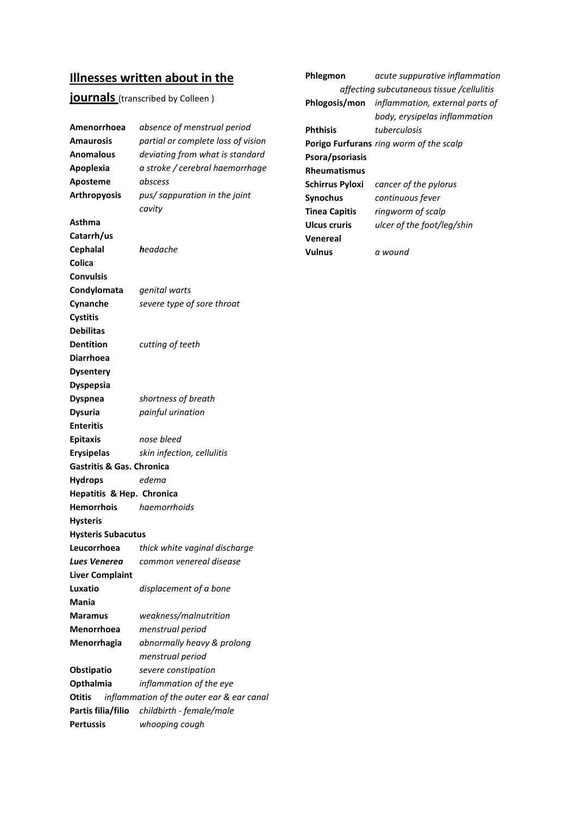# **Illnesses written about in the**

# **journals** (transcribed by Colleen)

| Amenorrhoea                          | absence of menstrual period               |
|--------------------------------------|-------------------------------------------|
| <b>Amaurosis</b>                     | partial or complete loss of vision        |
| <b>Anomalous</b>                     | deviating from what is standard           |
| Apoplexia                            | a stroke / cerebral haemorrhage           |
| Aposteme                             | abscess                                   |
| <b>Arthropyosis</b>                  | pus/sappuration in the joint              |
|                                      | cavity                                    |
| Asthma                               |                                           |
| Catarrh/us                           |                                           |
| <b>Cephalal</b>                      | <b>h</b> eadache                          |
| Colica                               |                                           |
| Convulsis                            |                                           |
| Condylomata                          | genital warts                             |
| Cynanche                             | severe type of sore throat                |
| <b>Cystitis</b>                      |                                           |
| <b>Debilitas</b>                     |                                           |
| <b>Dentition</b>                     | cutting of teeth                          |
| <b>Diarrhoea</b>                     |                                           |
| <b>Dysentery</b>                     |                                           |
| <b>Dyspepsia</b>                     |                                           |
| <b>Dyspnea</b>                       | shortness of breath                       |
| <b>Dysuria</b>                       | painful urination                         |
| <b>Enteritis</b>                     |                                           |
| <b>Epitaxis</b>                      | nose bleed                                |
| <b>Erysipelas</b>                    | skin infection, cellulitis                |
| <b>Gastritis &amp; Gas. Chronica</b> |                                           |
| <b>Hydrops</b>                       | edema                                     |
| Hepatitis & Hep. Chronica            |                                           |
| <b>Hemorrhois</b>                    | haemorrhoids                              |
| <b>Hysteris</b>                      |                                           |
| <b>Hysteris Subacutus</b>            |                                           |
| Leucorrhoea                          | thick white vaginal discharge             |
| <b>Lues Venerea</b>                  | common venereal disease                   |
| <b>Liver Complaint</b>               |                                           |
| Luxatio                              | displacement of a bone                    |
| Mania                                |                                           |
| <b>Maramus</b>                       | weakness/malnutrition                     |
| Menorrhoea                           | menstrual period                          |
| Menorrhagia                          | abnormally heavy & prolong                |
|                                      | menstrual period                          |
| Obstipatio                           | severe constipation                       |
| Opthalmia                            | inflammation of the eye                   |
| Otitis                               | inflammation of the outer ear & ear canal |
| Partis filia/filio                   | childbirth - female/male                  |
| <b>Pertussis</b>                     | whooping cough                            |

| Phlegmon             | acute suppurative inflammation                       |
|----------------------|------------------------------------------------------|
|                      | affecting subcutaneous tissue /cellulitis            |
|                      | <b>Phlogosis/mon</b> inflammation, external parts of |
|                      | body, erysipelas inflammation                        |
| Phthisis             | tuberculosis                                         |
|                      | <b>Porigo Furfurans</b> ring worm of the scalp       |
| Psora/psoriasis      |                                                      |
| Rheumatismus         |                                                      |
| Schirrus Pyloxi      | cancer of the pylorus                                |
| Synochus             | continuous fever                                     |
| <b>Tinea Capitis</b> | ringworm of scalp                                    |
| Ulcus cruris         | ulcer of the foot/leg/shin                           |
| Venereal             |                                                      |
| Vulnus               | a wound                                              |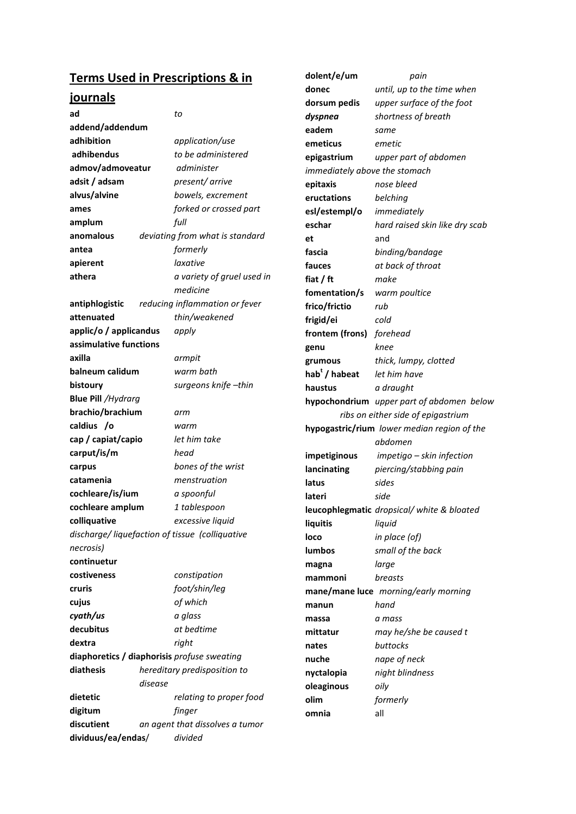# **Terms Used in Prescriptions & in**

## **journals**

| <u>Iournais</u>                             |         |                                                 | dorsum pedis                  | upper surface of the foot                   |
|---------------------------------------------|---------|-------------------------------------------------|-------------------------------|---------------------------------------------|
| ad                                          |         | to                                              | dyspnea                       | shortness of breath                         |
| addend/addendum                             |         |                                                 | eadem                         | same                                        |
| adhibition                                  |         | application/use                                 | emeticus                      | emetic                                      |
| adhibendus                                  |         | to be administered                              | epigastrium                   | upper part of abdomen                       |
| admov/admoveatur                            |         | administer                                      | immediately above the stomach |                                             |
| adsit / adsam                               |         | present/arrive                                  | epitaxis                      | nose bleed                                  |
| alvus/alvine                                |         | bowels, excrement                               | eructations                   | belching                                    |
| ames                                        |         | forked or crossed part                          | esl/estempl/o                 | immediately                                 |
| amplum                                      |         | full                                            | eschar                        | hard raised skin like dry scab              |
| anomalous                                   |         | deviating from what is standard                 | et                            | and                                         |
| antea                                       |         | formerly                                        | fascia                        | binding/bandage                             |
| apierent                                    |         | laxative                                        | fauces                        | at back of throat                           |
| athera                                      |         | a variety of gruel used in                      | fiat $/$ ft                   | make                                        |
|                                             |         | medicine                                        | fomentation/s                 | warm poultice                               |
| antiphlogistic                              |         | reducing inflammation or fever                  | frico/frictio                 | rub                                         |
| attenuated                                  |         | thin/weakened                                   | frigid/ei                     | cold                                        |
| applic/o / applicandus                      |         | apply                                           | frontem (frons)               | forehead                                    |
| assimulative functions                      |         |                                                 | genu                          | knee                                        |
| axilla                                      |         | armpit                                          | grumous                       | thick, lumpy, clotted                       |
| balneum calidum                             |         | warm bath                                       | hab <sup>t</sup> / habeat     | let him have                                |
| bistoury                                    |         | surgeons knife-thin                             | haustus                       | a draught                                   |
| <b>Blue Pill / Hydrarg</b>                  |         |                                                 |                               | hypochondrium upper part of abdomen below   |
| brachio/brachium                            |         | arm                                             |                               | ribs on either side of epigastrium          |
| caldius /o                                  |         | warm                                            |                               | hypogastric/rium lower median region of the |
| cap / capiat/capio                          |         | let him take                                    |                               | abdomen                                     |
| carput/is/m                                 |         | head                                            | impetiginous                  | impetigo - skin infection                   |
| carpus                                      |         | bones of the wrist                              | lancinating                   | piercing/stabbing pain                      |
| catamenia                                   |         | menstruation                                    | latus                         | sides                                       |
| cochleare/is/ium                            |         | a spoonful                                      | lateri                        | side                                        |
| cochleare amplum                            |         | 1 tablespoon                                    |                               | leucophlegmatic dropsical/white & bloated   |
| colliquative                                |         | excessive liquid                                | liquitis                      | liquid                                      |
|                                             |         | discharge/ liquefaction of tissue (colliquative | loco                          | in place (of)                               |
| necrosis)                                   |         |                                                 | <b>lumbos</b>                 | small of the back                           |
| continuetur                                 |         |                                                 | magna                         | large                                       |
| costiveness                                 |         | constipation                                    | mammoni                       | breasts                                     |
| cruris                                      |         | foot/shin/leg                                   |                               | mane/mane luce morning/early morning        |
| cujus                                       |         | of which                                        | manun                         | hand                                        |
| cyath/us                                    |         | a glass                                         | massa                         | a mass                                      |
| decubitus                                   |         | at bedtime                                      | mittatur                      | may he/she be caused t                      |
| dextra                                      |         | right                                           | nates                         | buttocks                                    |
|                                             |         |                                                 | nuche                         | nape of neck                                |
| diaphoretics / diaphorisis profuse sweating |         |                                                 |                               |                                             |
| diathesis                                   |         | hereditary predisposition to                    |                               |                                             |
|                                             | disease |                                                 | nyctalopia                    | night blindness                             |
| dietetic                                    |         | relating to proper food                         | oleaginous<br>olim            | oily                                        |
| digitum                                     |         | finger                                          | omnia                         | formerly<br>all                             |
| discutient                                  |         | an agent that dissolves a tumor                 |                               |                                             |

**dolent/e/um** *pain* 

**donec** *until, up to the time when*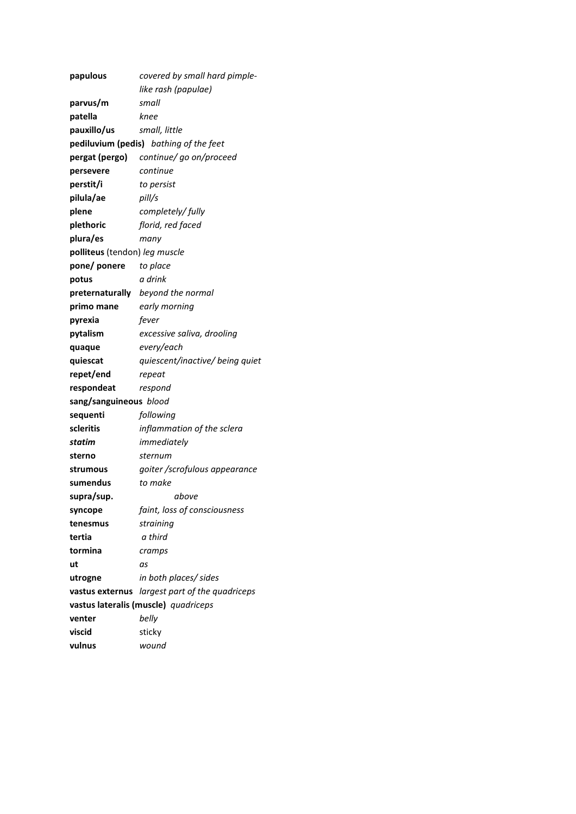| papulous                             | covered by small hard pimple-        |
|--------------------------------------|--------------------------------------|
|                                      | like rash (papulae)                  |
| parvus/m                             | small                                |
| patella                              | knee                                 |
| pauxillo/us                          | small, little                        |
| pediluvium (pedis)                   | bathing of the feet                  |
| pergat (pergo)                       | continue/ go on/proceed              |
| persevere                            | continue                             |
| perstit/i                            | to persist                           |
| pilula/ae                            | pill/s                               |
| plene                                | completely/fully                     |
| plethoric                            | florid, red faced                    |
| plura/es                             | many                                 |
| <b>polliteus</b> (tendon) leg muscle |                                      |
| pone/ ponere                         | to place                             |
| potus                                | a drink                              |
| preternaturally                      | beyond the normal                    |
| primo mane                           | early morning                        |
| pyrexia                              | fever                                |
| pytalism                             | excessive saliva, drooling           |
| quaque                               | every/each                           |
| quiescat                             | quiescent/inactive/ being quiet      |
| repet/end                            | repeat                               |
| respondeat                           | respond                              |
| sang/sanguineous blood               |                                      |
| sequenti                             | following                            |
| scleritis                            | inflammation of the sclera           |
| statim                               | immediately                          |
| sterno                               | sternum                              |
| strumous                             | goiter /scrofulous appearance        |
| sumendus                             | to make                              |
| supra/sup.                           | above                                |
| syncope                              | faint, loss of consciousness         |
| tenesmus                             | straining                            |
| tertia                               | a third                              |
| tormina                              | cramps                               |
| ut                                   | as                                   |
| utrogne                              | in both places/ sides                |
| vastus externus                      | largest part of the quadriceps       |
|                                      | vastus lateralis (muscle) quadriceps |
| venter                               | belly                                |
| viscid                               | sticky                               |
| vulnus                               | wound                                |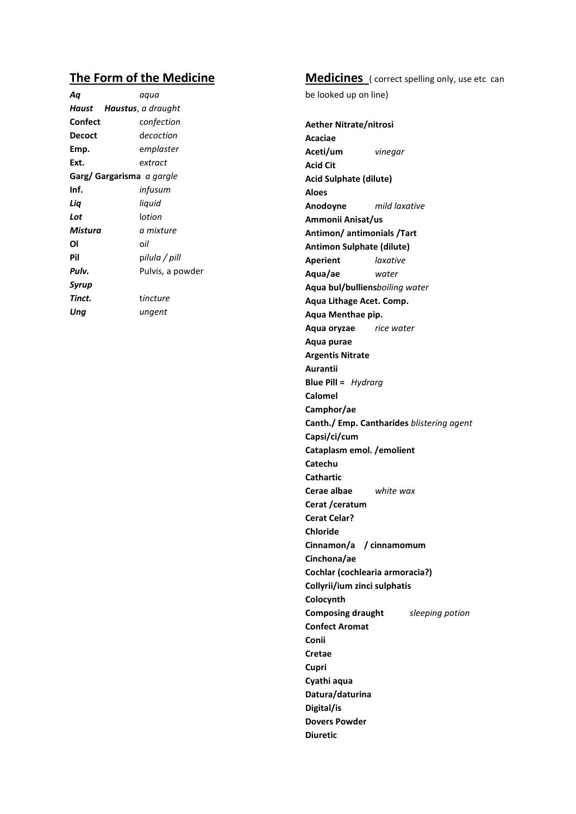### The Form of the Medicine

| Αq                               | aqua                       |  |
|----------------------------------|----------------------------|--|
| Haust                            | <b>Haustus</b> , a draught |  |
| Confect                          | confection                 |  |
| Decoct                           | decoction                  |  |
| Emp.                             | emplaster                  |  |
| Ext.                             | extract                    |  |
| Garg/ Gargarisma <i>a gargle</i> |                            |  |
| Inf.                             | infusum                    |  |
| Lia                              | liquid                     |  |
| Lot                              | lotion                     |  |
| Mistura                          | a mixture                  |  |
| Οl                               | oil                        |  |
| Pil                              | pilula / pill              |  |
| Pulv.                            | Pulvis, a powder           |  |
| Syrup                            |                            |  |
| Tinct.                           | tincture                   |  |
| Unq                              | ungent                     |  |
|                                  |                            |  |

## **Medicines** (correct spelling only, use etc can

be looked up on line)

**Aether Nitrate/nitrosi** Acaciae Aceti/um vinegar **Acid Cit** Acid Sulphate (dilute) **Aloes** Anodoyne mild laxative Ammonii Anisat/us Antimon/ antimonials /Tart **Antimon Sulphate (dilute) Aperient** laxative Aqua/ae water Aqua bul/bulliensboiling water Aqua Lithage Acet. Comp. Aqua Menthae pip. Aqua oryzae rice water Aqua purae **Argentis Nitrate** Aurantii **Blue Pill =**  $Hydrag$ **Calomel** Camphor/ae Canth./ Emp. Cantharides blistering agent Capsi/ci/cum Cataplasm emol. / emolient Catechu **Cathartic** Cerae albae white wax Cerat /ceratum **Cerat Celar? Chloride** Cinnamon/a / cinnamomum Cinchona/ae Cochlar (cochlearia armoracia?) Collyrii/ium zinci sulphatis Colocynth **Composing draught** sleeping potion **Confect Aromat** Conii Cretae Cupri Cyathi aqua Datura/daturina Digital/is **Dovers Powder Diuretic**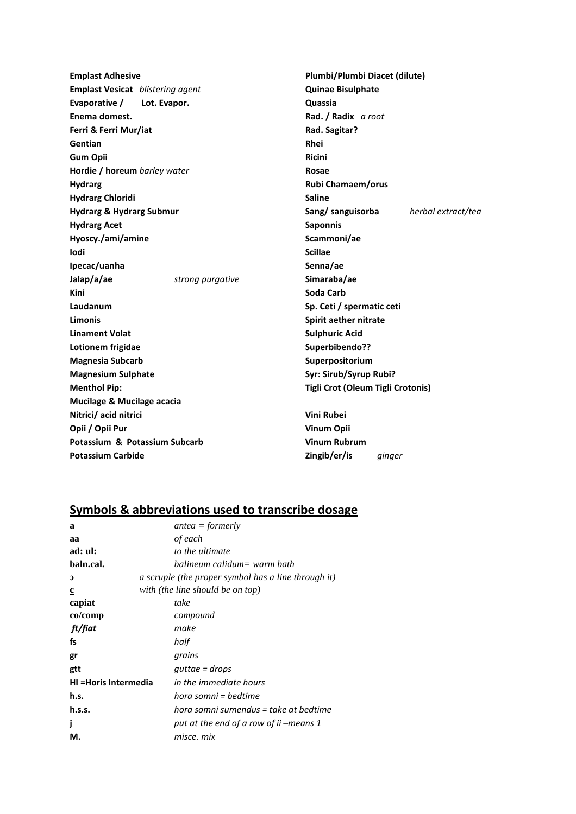**Emplast Adhesive** Emplast Vesicat blistering agent Lot. Evapor. Evaporative / Enema domest. Ferri & Ferri Mur/iat Gentian **Gum Opii** Hordie / horeum barley water **Hydrarg Hydrarg Chloridi Hydrarg & Hydrarg Submur Hydrarg Acet** Hyoscy./ami/amine Iodi Ipecac/uanha Jalap/a/ae strong purgative Kini Laudanum Limonis **Linament Volat** Lotionem frigidae **Magnesia Subcarb Magnesium Sulphate Menthol Pip:** Mucilage & Mucilage acacia Nitrici/ acid nitrici Opii / Opii Pur Potassium & Potassium Subcarb **Potassium Carbide** 

Plumbi/Plumbi Diacet (dilute) **Quinae Bisulphate** Quassia Rad. / Radix a root Rad. Sagitar? Rhei **Ricini** Rosae Rubi Chamaem/orus **Saline** Sang/sanguisorba herbal extract/tea **Saponnis** Scammoni/ae **Scillae** Senna/ae Simaraba/ae Soda Carb Sp. Ceti / spermatic ceti Spirit aether nitrate **Sulphuric Acid** Superbibendo?? Superpositorium Syr: Sirub/Syrup Rubi? Tigli Crot (Oleum Tigli Crotonis) Vini Rubei

**Vinum Opii Vinum Rubrum** Zingib/er/is ginger

#### Symbols & abbreviations used to transcribe dosage

| a                     | $antea = formerly$                                  |
|-----------------------|-----------------------------------------------------|
| aa                    | of each                                             |
| ad: ul:               | to the ultimate                                     |
| baln.cal.             | balineum calidum= warm bath                         |
| $\mathbf{D}$          | a scruple (the proper symbol has a line through it) |
| $\mathbf c$           | with (the line should be on top)                    |
| capiat                | take                                                |
| co/comp               | compound                                            |
| ft/fiat               | make                                                |
| fs                    | half                                                |
| gr                    | grains                                              |
| gtt                   | quttae = drops                                      |
| HI = Horis Intermedia | in the immediate hours                              |
| h.s.                  | hora somni = bedtime                                |
| h.s.s.                | hora somni sumendus = take at bedtime               |
| j                     | put at the end of a row of ii –means 1              |
| М.                    | misce. mix                                          |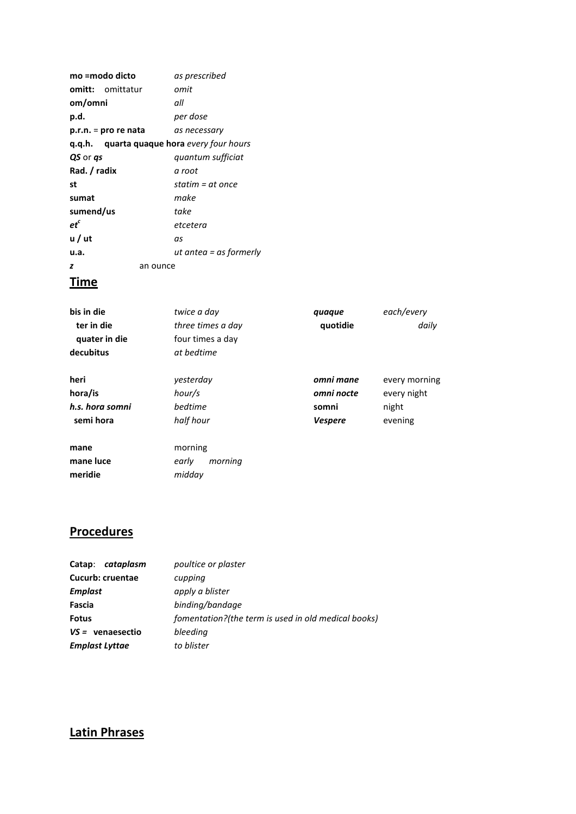|                 | mo =modo dicto          | as prescribed                                     |
|-----------------|-------------------------|---------------------------------------------------|
|                 | <b>omitt:</b> omittatur | omit                                              |
| om/omni         |                         | all                                               |
| p.d.            |                         | per dose                                          |
|                 | p.r.n. = pro re nata    | as necessary                                      |
|                 |                         | <b>q.q.h.</b> quarta quaque hora every four hours |
| QS or <i>gs</i> |                         | quantum sufficiat                                 |
| Rad. / radix    |                         | a root                                            |
| st              |                         | statim = at once                                  |
| sumat           |                         | make                                              |
| sumend/us       |                         | take                                              |
| $et^c$          |                         | etcetera                                          |
| u / ut          |                         | as                                                |
| u.a.            |                         | ut antea = as formerly                            |
| z               |                         | an ounce                                          |
|                 |                         |                                                   |

### **Time**

| bis in die<br>ter in die<br>quater in die<br>decubitus | twice a day<br>three times a day<br>four times a day<br>at bedtime | quaque<br>quotidie                                 | each/every<br>daily                              |
|--------------------------------------------------------|--------------------------------------------------------------------|----------------------------------------------------|--------------------------------------------------|
| heri<br>hora/is<br>h.s. hora somni<br>semi hora        | vesterday<br>hour/s<br>bedtime<br>half hour                        | omni mane<br>omni nocte<br>somni<br><b>Vespere</b> | every morning<br>every night<br>night<br>evening |
| mane<br>mane luce<br>meridie                           | morning<br>morning<br>early<br>midday                              |                                                    |                                                  |

# **Procedures**

| cataplasm<br>Catap:   | poultice or plaster                                 |
|-----------------------|-----------------------------------------------------|
| Cucurb: cruentae      | cupping                                             |
| <b>Emplast</b>        | apply a blister                                     |
| Fascia                | binding/bandage                                     |
| <b>Fotus</b>          | fomentation?(the term is used in old medical books) |
| $VS =$ venaesectio    | bleeding                                            |
| <b>Emplast Lyttae</b> | to blister                                          |

# **Latin Phrases**